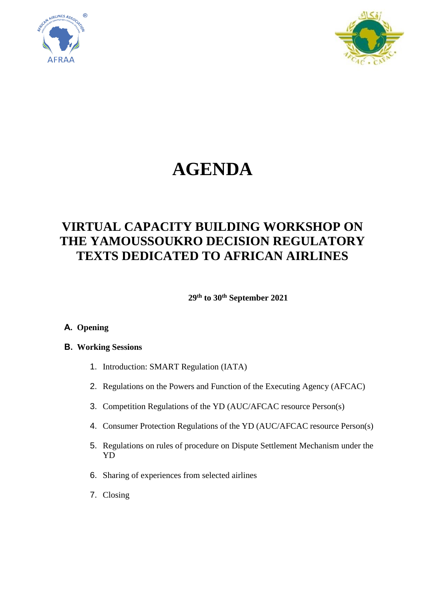



# **AGENDA**

# **VIRTUAL CAPACITY BUILDING WORKSHOP ON THE YAMOUSSOUKRO DECISION REGULATORY TEXTS DEDICATED TO AFRICAN AIRLINES**

**29th to 30th September 2021**

#### **A. Opening**

#### **B. Working Sessions**

- 1. Introduction: SMART Regulation (IATA)
- 2. Regulations on the Powers and Function of the Executing Agency (AFCAC)
- 3. Competition Regulations of the YD (AUC/AFCAC resource Person(s)
- 4. Consumer Protection Regulations of the YD (AUC/AFCAC resource Person(s)
- 5. Regulations on rules of procedure on Dispute Settlement Mechanism under the YD
- 6. Sharing of experiences from selected airlines
- 7. Closing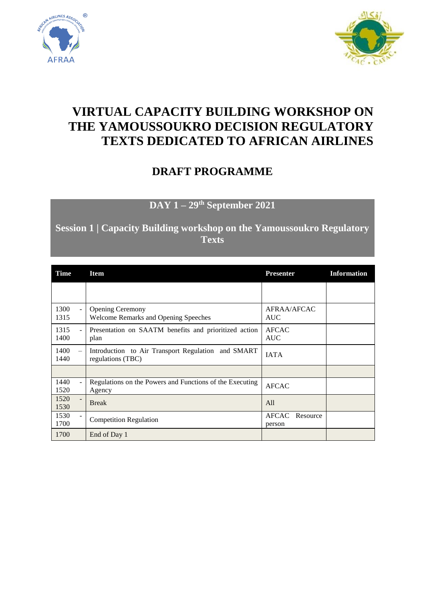



# **VIRTUAL CAPACITY BUILDING WORKSHOP ON THE YAMOUSSOUKRO DECISION REGULATORY TEXTS DEDICATED TO AFRICAN AIRLINES**

### **DRAFT PROGRAMME**

**DAY 1 – 29th September 2021**

**Session 1 | Capacity Building workshop on the Yamoussoukro Regulatory Texts**

| Time                                     | <b>Item</b>                                                                  | <b>Presenter</b>                   | <b>Information</b> |
|------------------------------------------|------------------------------------------------------------------------------|------------------------------------|--------------------|
|                                          |                                                                              |                                    |                    |
| 1300<br>1315                             | <b>Opening Ceremony</b><br>÷.<br><b>Welcome Remarks and Opening Speeches</b> | AFRAA/AFCAC<br><b>AUC</b>          |                    |
| 1315<br>1400                             | Presentation on SAATM benefits and prioritized action<br>plan                | <b>AFCAC</b><br><b>AUC</b>         |                    |
| 1400<br>$\overline{\phantom{0}}$<br>1440 | Introduction to Air Transport Regulation and SMART<br>regulations (TBC)      | <b>IATA</b>                        |                    |
|                                          |                                                                              |                                    |                    |
| 1440<br>1520                             | Regulations on the Powers and Functions of the Executing<br>Agency           | <b>AFCAC</b>                       |                    |
| 1520<br>1530                             | <b>Break</b>                                                                 | All                                |                    |
| 1530<br>1700                             | <b>Competition Regulation</b>                                                | <b>AFCAC</b><br>Resource<br>person |                    |
| 1700                                     | End of Day 1                                                                 |                                    |                    |